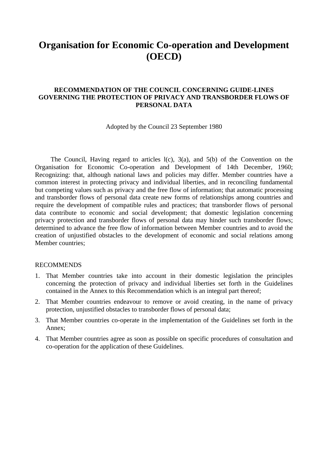# **Organisation for Economic Co-operation and Development (OECD)**

#### **RECOMMENDATION OF THE COUNCIL CONCERNING GUIDE-LINES GOVERNING THE PROTECTION OF PRIVACY AND TRANSBORDER FLOWS OF PERSONAL DATA**

Adopted by the Council 23 September 1980

The Council, Having regard to articles l(c), 3(a), and 5(b) of the Convention on the Organisation for Economic Co-operation and Development of 14th December, 1960; Recognizing: that, although national laws and policies may differ. Member countries have a common interest in protecting privacy and individual liberties, and in reconciling fundamental but competing values such as privacy and the free flow of information; that automatic processing and transborder flows of personal data create new forms of relationships among countries and require the development of compatible rules and practices; that transborder flows of personal data contribute to economic and social development; that domestic legislation concerning privacy protection and transborder flows of personal data may hinder such transborder flows; determined to advance the free flow of information between Member countries and to avoid the creation of unjustified obstacles to the development of economic and social relations among Member countries;

#### RECOMMENDS

- 1. That Member countries take into account in their domestic legislation the principles concerning the protection of privacy and individual liberties set forth in the Guidelines contained in the Annex to this Recommendation which is an integral part thereof;
- 2. That Member countries endeavour to remove or avoid creating, in the name of privacy protection, unjustified obstacles to transborder flows of personal data;
- 3. That Member countries co-operate in the implementation of the Guidelines set forth in the Annex;
- 4. That Member countries agree as soon as possible on specific procedures of consultation and co-operation for the application of these Guidelines.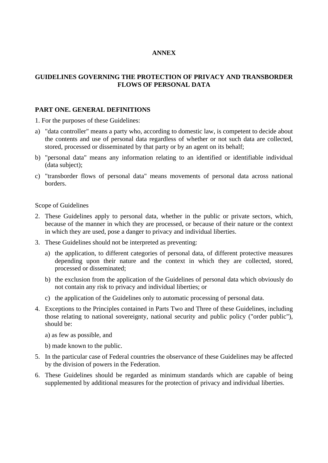# **ANNEX**

## **GUIDELINES GOVERNING THE PROTECTION OF PRIVACY AND TRANSBORDER FLOWS OF PERSONAL DATA**

#### **PART ONE. GENERAL DEFINITIONS**

1. For the purposes of these Guidelines:

- a) "data controller" means a party who, according to domestic law, is competent to decide about the contents and use of personal data regardless of whether or not such data are collected, stored, processed or disseminated by that party or by an agent on its behalf;
- b) "personal data" means any information relating to an identified or identifiable individual (data subject);
- c) "transborder flows of personal data" means movements of personal data across national borders.

Scope of Guidelines

- 2. These Guidelines apply to personal data, whether in the public or private sectors, which, because of the manner in which they are processed, or because of their nature or the context in which they are used, pose a danger to privacy and individual liberties.
- 3. These Guidelines should not be interpreted as preventing:
	- a) the application, to different categories of personal data, of different protective measures depending upon their nature and the context in which they are collected, stored, processed or disseminated;
	- b) the exclusion from the application of the Guidelines of personal data which obviously do not contain any risk to privacy and individual liberties; or
	- c) the application of the Guidelines only to automatic processing of personal data.
- 4. Exceptions to the Principles contained in Parts Two and Three of these Guidelines, including those relating to national sovereignty, national security and public policy ("order public"), should be:  $\blacksquare$ 
	- a) as few as possible, and
	- b) made known to the public.
- 5. In the particular case of Federal countries the observance of these Guidelines may be affected by the division of powers in the Federation.
- 6. These Guidelines should be regarded as minimum standards which are capable of being supplemented by additional measures for the protection of privacy and individual liberties.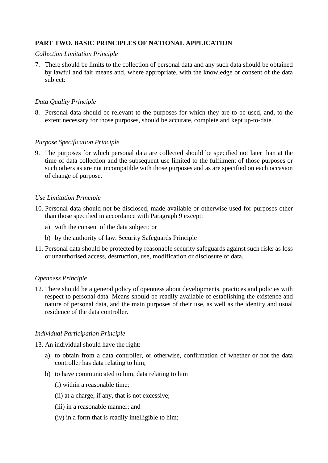# **PART TWO. BASIC PRINCIPLES OF NATIONAL APPLICATION**

#### *Collection Limitation Principle*

7. There should be limits to the collection of personal data and any such data should be obtained by lawful and fair means and, where appropriate, with the knowledge or consent of the data subject:

# *Data Quality Principle*

8. Personal data should be relevant to the purposes for which they are to be used, and, to the extent necessary for those purposes, should be accurate, complete and kept up-to-date.

## *Purpose Specification Principle*

9. The purposes for which personal data are collected should be specified not later than at the time of data collection and the subsequent use limited to the fulfilment of those purposes or such others as are not incompatible with those purposes and as are specified on each occasion of change of purpose.

## *Use Limitation Principle*

- 10. Personal data should not be disclosed, made available or otherwise used for purposes other than those specified in accordance with Paragraph 9 except:
	- a) with the consent of the data subject; or
	- b) by the authority of law. Security Safeguards Principle
- 11. Personal data should be protected by reasonable security safeguards against such risks as loss or unauthorised access, destruction, use, modification or disclosure of data.

# *Openness Principle*

12. There should be a general policy of openness about developments, practices and policies with respect to personal data. Means should be readily available of establishing the existence and nature of personal data, and the main purposes of their use, as well as the identity and usual residence of the data controller.

# *Individual Participation Principle*

- 13. An individual should have the right:
	- a) to obtain from a data controller, or otherwise, confirmation of whether or not the data controller has data relating to him;
	- b) to have communicated to him, data relating to him
		- (i) within a reasonable time;
		- (ii) at a charge, if any, that is not excessive;
		- (iii) in a reasonable manner; and
		- (iv) in a form that is readily intelligible to him;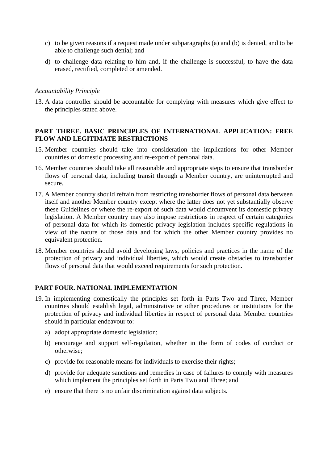- c) to be given reasons if a request made under subparagraphs (a) and (b) is denied, and to be able to challenge such denial; and
- d) to challenge data relating to him and, if the challenge is successful, to have the data erased, rectified, completed or amended.

#### *Accountability Principle*

13. A data controller should be accountable for complying with measures which give effect to the principles stated above.

## **PART THREE. BASIC PRINCIPLES OF INTERNATIONAL APPLICATION: FREE FLOW AND LEGITIMATE RESTRICTIONS**

- 15. Member countries should take into consideration the implications for other Member countries of domestic processing and re-export of personal data.
- 16. Member countries should take all reasonable and appropriate steps to ensure that transborder flows of personal data, including transit through a Member country, are uninterrupted and secure.
- 17. A Member country should refrain from restricting transborder flows of personal data between itself and another Member country except where the latter does not yet substantially observe these Guidelines or where the re-export of such data would circumvent its domestic privacy legislation. A Member country may also impose restrictions in respect of certain categories of personal data for which its domestic privacy legislation includes specific regulations in view of the nature of those data and for which the other Member country provides no equivalent protection.
- 18. Member countries should avoid developing laws, policies and practices in the name of the protection of privacy and individual liberties, which would create obstacles to transborder flows of personal data that would exceed requirements for such protection.

#### **PART FOUR. NATIONAL IMPLEMENTATION**

- 19. In implementing domestically the principles set forth in Parts Two and Three, Member countries should establish legal, administrative or other procedures or institutions for the protection of privacy and individual liberties in respect of personal data. Member countries should in particular endeavour to:
	- a) adopt appropriate domestic legislation;
	- b) encourage and support self-regulation, whether in the form of codes of conduct or otherwise;
	- c) provide for reasonable means for individuals to exercise their rights;
	- d) provide for adequate sanctions and remedies in case of failures to comply with measures which implement the principles set forth in Parts Two and Three; and
	- e) ensure that there is no unfair discrimination against data subjects.